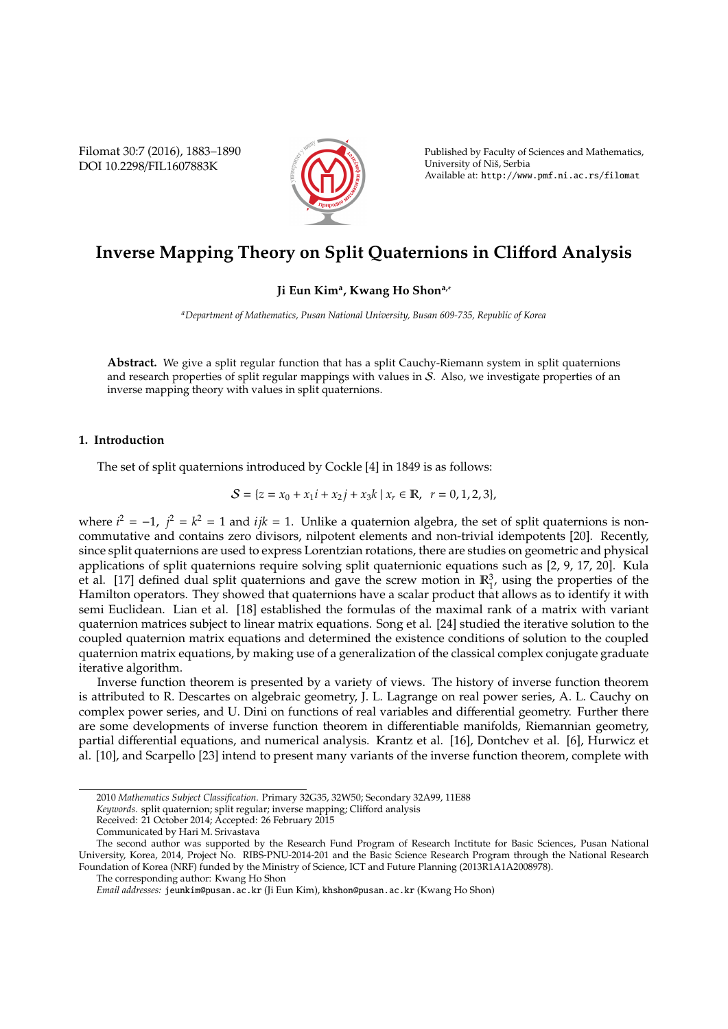Filomat 30:7 (2016), 1883–1890 DOI 10.2298/FIL1607883K



Published by Faculty of Sciences and Mathematics, University of Nis, Serbia ˇ Available at: http://www.pmf.ni.ac.rs/filomat

# **Inverse Mapping Theory on Split Quaternions in Cli**ff**ord Analysis**

# **Ji Eun Kim<sup>a</sup> , Kwang Ho Shona,**<sup>∗</sup>

*<sup>a</sup>Department of Mathematics, Pusan National University, Busan 609-735, Republic of Korea*

**Abstract.** We give a split regular function that has a split Cauchy-Riemann system in split quaternions and research properties of split regular mappings with values in  $S$ . Also, we investigate properties of an inverse mapping theory with values in split quaternions.

## **1. Introduction**

The set of split quaternions introduced by Cockle [4] in 1849 is as follows:

$$
S = \{z = x_0 + x_1i + x_2j + x_3k \mid x_r \in \mathbb{R}, r = 0, 1, 2, 3\},\
$$

where  $i^2 = -1$ ,  $j^2 = k^2 = 1$  and  $ijk = 1$ . Unlike a quaternion algebra, the set of split quaternions is noncommutative and contains zero divisors, nilpotent elements and non-trivial idempotents [20]. Recently, since split quaternions are used to express Lorentzian rotations, there are studies on geometric and physical applications of split quaternions require solving split quaternionic equations such as [2, 9, 17, 20]. Kula et al. [17] defined dual split quaternions and gave the screw motion in  $\mathbb{R}^3$ , using the properties of the Hamilton operators. They showed that quaternions have a scalar product that allows as to identify it with semi Euclidean. Lian et al. [18] established the formulas of the maximal rank of a matrix with variant quaternion matrices subject to linear matrix equations. Song et al. [24] studied the iterative solution to the coupled quaternion matrix equations and determined the existence conditions of solution to the coupled quaternion matrix equations, by making use of a generalization of the classical complex conjugate graduate iterative algorithm.

Inverse function theorem is presented by a variety of views. The history of inverse function theorem is attributed to R. Descartes on algebraic geometry, J. L. Lagrange on real power series, A. L. Cauchy on complex power series, and U. Dini on functions of real variables and differential geometry. Further there are some developments of inverse function theorem in differentiable manifolds, Riemannian geometry, partial differential equations, and numerical analysis. Krantz et al. [16], Dontchev et al. [6], Hurwicz et al. [10], and Scarpello [23] intend to present many variants of the inverse function theorem, complete with

*Keywords*. split quaternion; split regular; inverse mapping; Clifford analysis

<sup>2010</sup> *Mathematics Subject Classification*. Primary 32G35, 32W50; Secondary 32A99, 11E88

Received: 21 October 2014; Accepted: 26 February 2015

Communicated by Hari M. Srivastava

The second author was supported by the Research Fund Program of Research Inctitute for Basic Sciences, Pusan National University, Korea, 2014, Project No. RIBS-PNU-2014-201 and the Basic Science Research Program through the National Research Foundation of Korea (NRF) funded by the Ministry of Science, ICT and Future Planning (2013R1A1A2008978).

The corresponding author: Kwang Ho Shon

*Email addresses:* jeunkim@pusan.ac.kr (Ji Eun Kim), khshon@pusan.ac.kr (Kwang Ho Shon)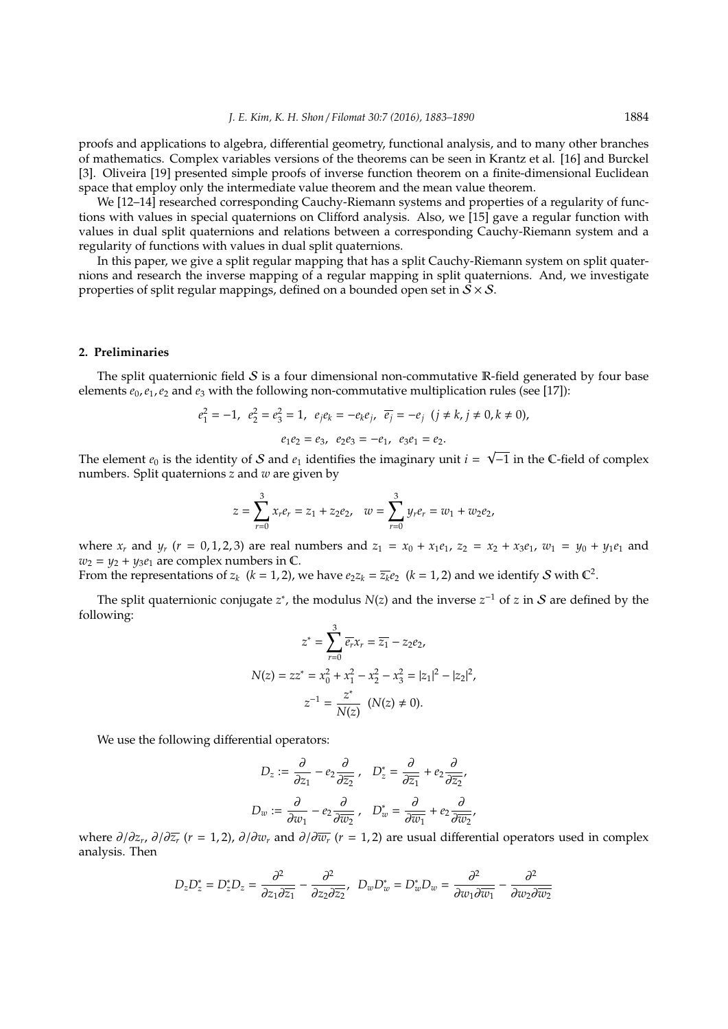proofs and applications to algebra, differential geometry, functional analysis, and to many other branches of mathematics. Complex variables versions of the theorems can be seen in Krantz et al. [16] and Burckel [3]. Oliveira [19] presented simple proofs of inverse function theorem on a finite-dimensional Euclidean space that employ only the intermediate value theorem and the mean value theorem.

We [12–14] researched corresponding Cauchy-Riemann systems and properties of a regularity of functions with values in special quaternions on Clifford analysis. Also, we [15] gave a regular function with values in dual split quaternions and relations between a corresponding Cauchy-Riemann system and a regularity of functions with values in dual split quaternions.

In this paper, we give a split regular mapping that has a split Cauchy-Riemann system on split quaternions and research the inverse mapping of a regular mapping in split quaternions. And, we investigate properties of split regular mappings, defined on a bounded open set in  $S \times S$ .

#### **2. Preliminaries**

The split quaternionic field  $S$  is a four dimensional non-commutative R-field generated by four base elements  $e_0$ ,  $e_1$ ,  $e_2$  and  $e_3$  with the following non-commutative multiplication rules (see [17]):

$$
e_1^2 = -1
$$
,  $e_2^2 = e_3^2 = 1$ ,  $e_j e_k = -e_k e_j$ ,  $\overline{e_j} = -e_j$   $(j \neq k, j \neq 0, k \neq 0)$ ,  
 $e_1 e_2 = e_3$ ,  $e_2 e_3 = -e_1$ ,  $e_3 e_1 = e_2$ .

The element  $e_0$  is the identity of S and  $e_1$  identifies the imaginary unit  $i = \sqrt{-1}$  in the C-field of complex numbers. Split quaternions *z* and *w* are given by

$$
z = \sum_{r=0}^{3} x_r e_r = z_1 + z_2 e_2, \quad w = \sum_{r=0}^{3} y_r e_r = w_1 + w_2 e_2,
$$

where  $x_r$  and  $y_r$  ( $r = 0, 1, 2, 3$ ) are real numbers and  $z_1 = x_0 + x_1e_1$ ,  $z_2 = x_2 + x_3e_1$ ,  $w_1 = y_0 + y_1e_1$  and  $w_2 = y_2 + y_3e_1$  are complex numbers in  $\mathbb{C}$ .

From the representations of  $z_k$  ( $k = 1, 2$ ), we have  $e_2 z_k = \overline{z_k} e_2$  ( $k = 1, 2$ ) and we identify S with  $\mathbb{C}^2$ .

The split quaternionic conjugate  $z^*$ , the modulus  $N(z)$  and the inverse  $z^{-1}$  of  $z$  in  $S$  are defined by the following:

$$
z^* = \sum_{r=0}^3 \overline{e_r} x_r = \overline{z_1} - z_2 e_2,
$$
  

$$
N(z) = z z^* = x_0^2 + x_1^2 - x_2^2 - x_3^2 = |z_1|^2 - |z_2|^2,
$$
  

$$
z^{-1} = \frac{z^*}{N(z)} \quad (N(z) \neq 0).
$$

We use the following differential operators:

$$
D_z := \frac{\partial}{\partial z_1} - e_2 \frac{\partial}{\partial \overline{z_2}}, \quad D_z^* = \frac{\partial}{\partial \overline{z_1}} + e_2 \frac{\partial}{\partial \overline{z_2}},
$$
  

$$
D_w := \frac{\partial}{\partial w_1} - e_2 \frac{\partial}{\partial \overline{w_2}}, \quad D_w^* = \frac{\partial}{\partial \overline{w_1}} + e_2 \frac{\partial}{\partial \overline{w_2}},
$$

where ∂/∂*z<sup>r</sup>* , ∂/∂*z<sup>r</sup>* (*r* = 1, 2), ∂/∂*w<sup>r</sup>* and ∂/∂*w<sup>r</sup>* (*r* = 1, 2) are usual differential operators used in complex analysis. Then

$$
D_zD_z^* = D_z^*D_z = \frac{\partial^2}{\partial z_1 \partial \overline{z_1}} - \frac{\partial^2}{\partial z_2 \partial \overline{z_2}}, \ \ D_wD_w^* = D_w^*D_w = \frac{\partial^2}{\partial w_1 \partial \overline{w_1}} - \frac{\partial^2}{\partial w_2 \partial \overline{w_2}}
$$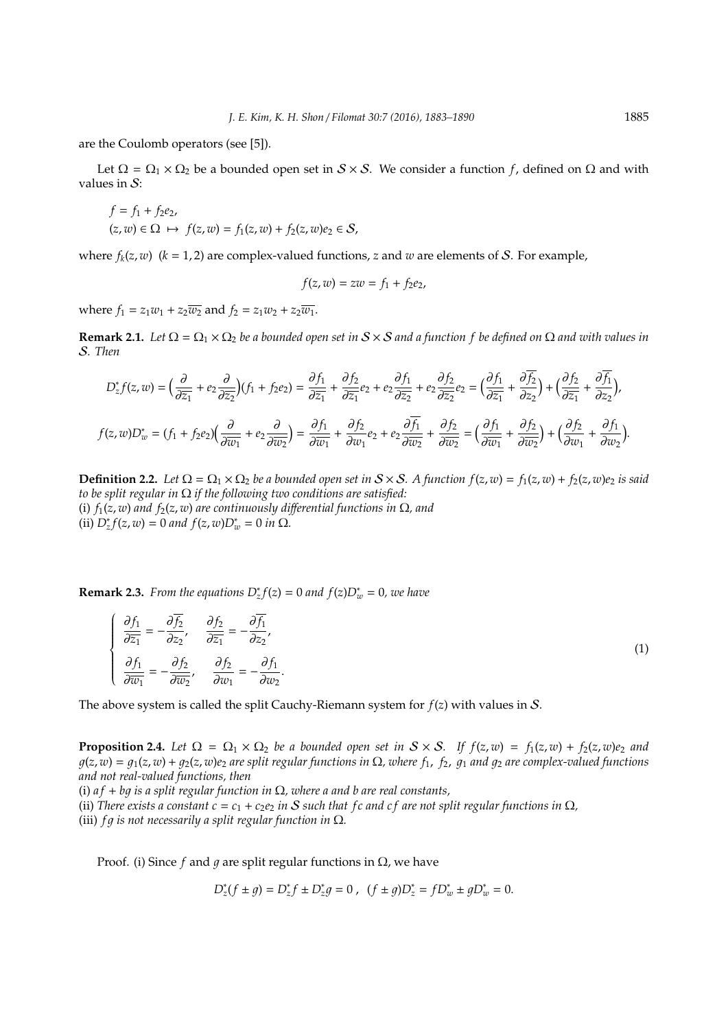are the Coulomb operators (see [5]).

Let  $\Omega = \Omega_1 \times \Omega_2$  be a bounded open set in  $S \times S$ . We consider a function *f*, defined on  $\Omega$  and with values in  $S$ :

$$
f = f_1 + f_2 e_2,
$$
  
(z, w)  $\in \Omega \mapsto f(z, w) = f_1(z, w) + f_2(z, w) e_2 \in S,$ 

where  $f_k(z, w)$  ( $k = 1, 2$ ) are complex-valued functions, *z* and *w* are elements of *S*. For example,

$$
f(z, w) = zw = f1 + f2e2,
$$

where  $f_1 = z_1w_1 + z_2\overline{w_2}$  and  $f_2 = z_1w_2 + z_2\overline{w_1}$ .

**Remark 2.1.** *Let*  $\Omega = \Omega_1 \times \Omega_2$  *be a bounded open set in*  $S \times S$  *and a function f be defined on*  $\Omega$  *and with values in* S*. Then*

$$
D_z^* f(z, w) = \left(\frac{\partial}{\partial \overline{z_1}} + e_2 \frac{\partial}{\partial \overline{z_2}}\right) (f_1 + f_2 e_2) = \frac{\partial f_1}{\partial \overline{z_1}} + \frac{\partial f_2}{\partial \overline{z_1}} e_2 + e_2 \frac{\partial f_1}{\partial \overline{z_2}} + e_2 \frac{\partial f_2}{\partial \overline{z_2}} e_2 = \left(\frac{\partial f_1}{\partial \overline{z_1}} + \frac{\partial f_2}{\partial z_2}\right) + \left(\frac{\partial f_2}{\partial \overline{z_1}} + \frac{\partial f_1}{\partial z_2}\right),
$$
  

$$
f(z, w) D_w^* = (f_1 + f_2 e_2) \left(\frac{\partial}{\partial \overline{w_1}} + e_2 \frac{\partial}{\partial \overline{w_2}}\right) = \frac{\partial f_1}{\partial \overline{w_1}} + \frac{\partial f_2}{\partial w_1} e_2 + e_2 \frac{\partial f_1}{\partial \overline{w_2}} + \frac{\partial f_2}{\partial \overline{w_2}} = \left(\frac{\partial f_1}{\partial \overline{w_1}} + \frac{\partial f_2}{\partial \overline{w_2}}\right) + \left(\frac{\partial f_2}{\partial w_1} + \frac{\partial f_1}{\partial w_2}\right).
$$

**Definition 2.2.** Let  $\Omega = \Omega_1 \times \Omega_2$  be a bounded open set in  $S \times S$ . A function  $f(z, w) = f_1(z, w) + f_2(z, w)e_2$  is said *to be split regular in* Ω *if the following two conditions are satisfied:* (i)  $f_1(z, w)$  *and*  $f_2(z, w)$  *are continuously differential functions in*  $\Omega$ *, and*  $\int$ **(ii)**  $D_z^* f(z, w) = 0$  and  $f(z, w)D_w^* = 0$  in  $\Omega$ .

**Remark 2.3.** *From the equations*  $D_z^* f(z) = 0$  *and*  $f(z)D_w^* = 0$ *, we have* 

$$
\begin{cases}\n\frac{\partial f_1}{\partial \overline{z_1}} = -\frac{\partial \overline{f_2}}{\partial z_2}, & \frac{\partial f_2}{\partial \overline{z_1}} = -\frac{\partial \overline{f_1}}{\partial z_2},\\
\frac{\partial f_1}{\partial \overline{w_1}} = -\frac{\partial f_2}{\partial \overline{w_2}}, & \frac{\partial f_2}{\partial w_1} = -\frac{\partial f_1}{\partial w_2}.\n\end{cases}
$$
\n(1)

The above system is called the split Cauchy-Riemann system for *f*(*z*) with values in S.

**Proposition 2.4.** Let  $\Omega = \Omega_1 \times \Omega_2$  be a bounded open set in  $S \times S$ . If  $f(z, w) = f_1(z, w) + f_2(z, w)e_2$  and  $g(z, w) = g_1(z, w) + g_2(z, w)e_2$  are split regular functions in  $\Omega$ , where  $f_1$ ,  $f_2$ ,  $g_1$  and  $g_2$  are complex-valued functions *and not real-valued functions, then*

(i) *a f* + *b*1 *is a split regular function in* Ω*, where a and b are real constants,*

(ii) *There exists a constant c* =  $c_1 + c_2e_2$  *in* S *such that fc and cf are not split regular functions in*  $\Omega$ *,* (iii) *f q is not necessarily a split regular function in*  $\Omega$ *.* 

Proof. (i) Since *f* and *q* are split regular functions in  $Ω$ , we have

$$
D_z^*(f \pm g) = D_z^* f \pm D_z^* g = 0 \ , \ (f \pm g)D_z^* = f D_w^* \pm g D_w^* = 0.
$$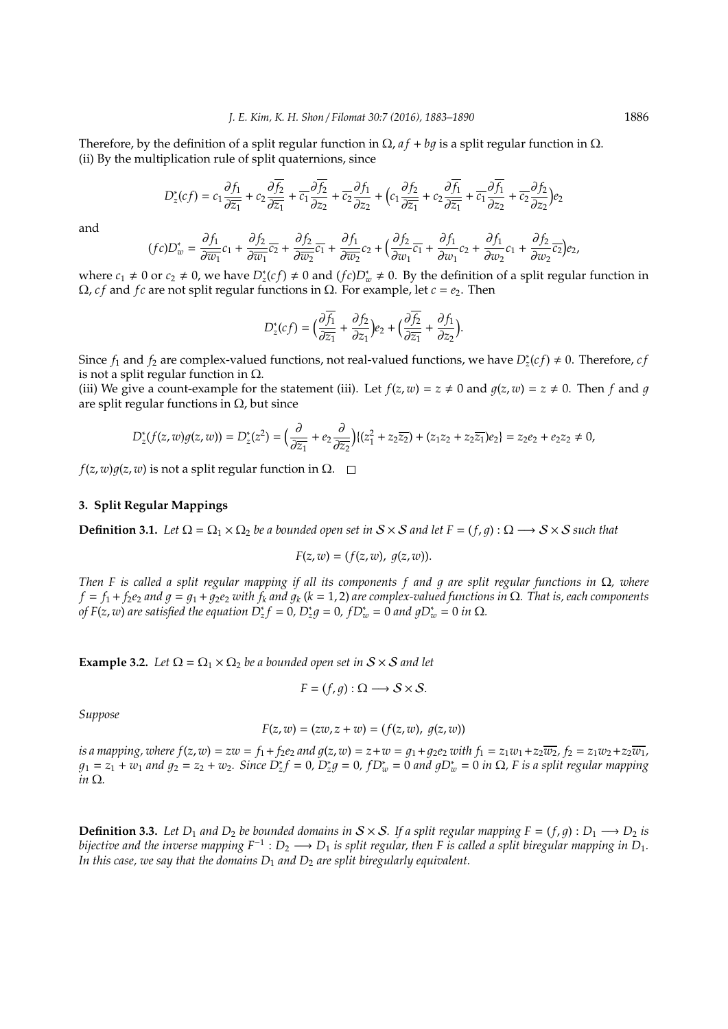Therefore, by the definition of a split regular function in  $\Omega$ ,  $af + bq$  is a split regular function in  $\Omega$ . (ii) By the multiplication rule of split quaternions, since

$$
D_2^*(cf) = c_1 \frac{\partial f_1}{\partial \overline{z_1}} + c_2 \frac{\partial \overline{f_2}}{\partial \overline{z_1}} + \overline{c_1} \frac{\partial f_2}{\partial z_2} + \overline{c_2} \frac{\partial f_1}{\partial z_2} + \left(c_1 \frac{\partial f_2}{\partial \overline{z_1}} + c_2 \frac{\partial f_1}{\partial \overline{z_1}} + \overline{c_1} \frac{\partial f_1}{\partial z_2} + \overline{c_2} \frac{\partial f_2}{\partial z_2}\right) e_2
$$

and

$$
(fc)D_w^*=\frac{\partial f_1}{\partial \overline{w_1}}c_1+\frac{\partial f_2}{\partial \overline{w_1}}\overline{c_2}+\frac{\partial f_2}{\partial \overline{w_2}}\overline{c_1}+\frac{\partial f_1}{\partial \overline{w_2}}c_2+\Big(\frac{\partial f_2}{\partial w_1}\overline{c_1}+\frac{\partial f_1}{\partial w_1}c_2+\frac{\partial f_1}{\partial w_2}c_1+\frac{\partial f_2}{\partial w_2}\overline{c_2}\Big)e_2,
$$

where  $c_1 \neq 0$  or  $c_2 \neq 0$ , we have  $D_z^*(cf) \neq 0$  and  $(fc)D_w^* \neq 0$ . By the definition of a split regular function in  $Ω$ , *cf* and *fc* are not split regular functions in  $Ω$ . For example, let *c* = *e*<sub>2</sub>. Then

$$
D_z^*(cf) = \Big(\frac{\partial \overline{f_1}}{\partial \overline{z_1}} + \frac{\partial f_2}{\partial z_1}\Big)e_2 + \Big(\frac{\partial \overline{f_2}}{\partial \overline{z_1}} + \frac{\partial f_1}{\partial z_2}\Big).
$$

Since  $f_1$  and  $f_2$  are complex-valued functions, not real-valued functions, we have  $D^*_z(cf) \neq 0$ . Therefore, *c* is not a split regular function in  $\Omega$ .

(iii) We give a count-example for the statement (iii). Let  $f(z, w) = z \neq 0$  and  $g(z, w) = z \neq 0$ . Then *f* and *g* are split regular functions in  $Ω$ , but since

$$
D_z^*(f(z,w)g(z,w)) = D_z^*(z^2) = \left(\frac{\partial}{\partial \overline{z_1}} + e_2 \frac{\partial}{\partial \overline{z_2}}\right) \{ (z_1^2 + z_2 \overline{z_2}) + (z_1 z_2 + z_2 \overline{z_1}) e_2 \} = z_2 e_2 + e_2 z_2 \neq 0,
$$

 $f(z, w)g(z, w)$  is not a split regular function in  $\Omega$ .  $\square$ 

### **3. Split Regular Mappings**

**Definition 3.1.** *Let*  $\Omega = \Omega_1 \times \Omega_2$  *be a bounded open set in*  $S \times S$  *and let*  $F = (f, q) : \Omega \longrightarrow S \times S$  *such that* 

$$
F(z, w) = (f(z, w), g(z, w)).
$$

*Then F is called a split regular mapping if all its components f and* 1 *are split regular functions in* Ω*, where*  $f = f_1 + f_2e_2$  *and*  $g = g_1 + g_2e_2$  *with*  $f_k$  *and*  $g_k$  ( $k = 1, 2$ ) *are complex-valued functions in*  $\Omega$ *. That is, each components of F*(*z*, *w*) are satisfied the equation  $D_z^* f = 0$ ,  $D_z^* g = 0$ ,  $f D_w^* = 0$  and  $g D_w^* = 0$  in  $\Omega$ .

**Example 3.2.** *Let*  $\Omega = \Omega_1 \times \Omega_2$  *be a bounded open set in*  $S \times S$  *and let* 

$$
F = (f, g) : \Omega \longrightarrow S \times S.
$$

*Suppose*

$$
F(z, w) = (zw, z + w) = (f(z, w), g(z, w))
$$

is a mapping, where  $f(z, w) = zw = f_1 + f_2e_2$  and  $g(z, w) = z + w = g_1 + g_2e_2$  with  $f_1 = z_1w_1 + z_2\overline{w_2}$ ,  $f_2 = z_1w_2 + z_2\overline{w_1}$ ,  $g_1 = z_1 + w_1$  and  $g_2 = z_2 + w_2$ . Since  $D_z^* f = 0$ ,  $D_z^* g = 0$ ,  $fD_w^* = 0$  and  $gD_w^* = 0$  in  $\Omega$ , F is a split regular mapping *in* Ω*.*

**Definition 3.3.** Let  $D_1$  and  $D_2$  be bounded domains in  $S \times S$ . If a split regular mapping  $F = (f, g) : D_1 \longrightarrow D_2$  is *bijective and the inverse mapping*  $F^{-1}: D_2 \longrightarrow D_1$  *is split regular, then F is called a split biregular mapping in*  $D_1$ *. In this case, we say that the domains D*<sup>1</sup> *and D*<sup>2</sup> *are split biregularly equivalent.*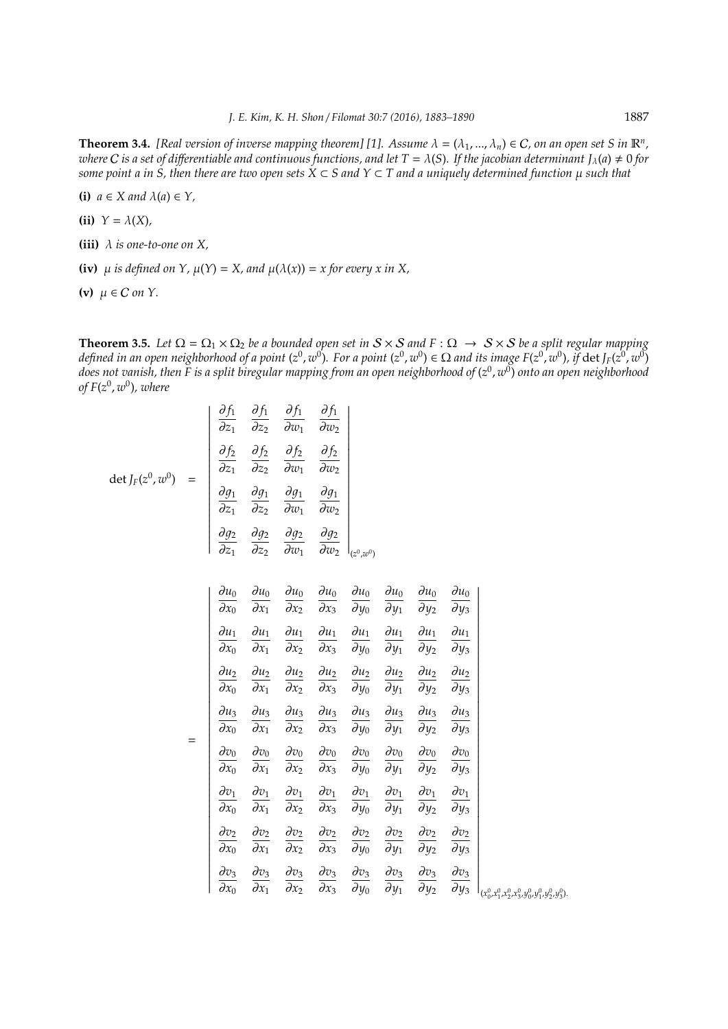**Theorem 3.4.** [Real version of inverse mapping theorem] [1]. Assume  $\lambda = (\lambda_1, ..., \lambda_n) \in C$ , on an open set S in  $\mathbb{R}^n$ , *where C is a set of differentiable and continuous functions, and let T =*  $\lambda(S)$ *. If the jacobian determinant*  $J_\lambda(a) \neq 0$  *for some point a in S, then there are two open sets*  $X \subset S$  *and*  $Y \subset T$  *and a uniquely determined function*  $\mu$  *such that* 

**(i)**  $a \in X$  and  $\lambda(a) \in Y$ ,

- **(ii)**  $Y = \lambda(X)$ ,
- **(iii)** λ *is one-to-one on X,*
- **(iv)**  $\mu$  *is defined on*  $Y$ ,  $\mu(Y) = X$ , and  $\mu(\lambda(x)) = x$  for every x in X,
- (v)  $\mu \in C$  *on*  $Y$ .

**Theorem 3.5.** *Let*  $\Omega = \Omega_1 \times \Omega_2$  *be a bounded open set in*  $S \times S$  *and*  $F : \Omega \to S \times S$  *be a split regular mapping* defined in an open neighborhood of a point (z $^0$ , w $^0$ ). For a point (z $^0$ , w $^0$ )  $\in$   $\Omega$  and its image F(z $^0$ , w $^0$ ), if  $\det J_F(z^0,w^0)$ *does not vanish, then F is a split biregular mapping from an open neighborhood of* (*z* 0 , *w* 0 ) *onto an open neighborhood of F*(*z* 0 , *w* 0 )*, where*

$$
\det J_F(z^0, w^0) = \begin{vmatrix} \frac{\partial f_1}{\partial z_1} & \frac{\partial f_1}{\partial z_2} & \frac{\partial f_1}{\partial w_1} & \frac{\partial f_1}{\partial w_2} \\ \frac{\partial f_2}{\partial z_1} & \frac{\partial f_2}{\partial z_2} & \frac{\partial f_2}{\partial w_1} & \frac{\partial f_2}{\partial w_2} \\ \frac{\partial g_1}{\partial z_1} & \frac{\partial g_1}{\partial z_2} & \frac{\partial g_1}{\partial w_1} & \frac{\partial g_1}{\partial w_2} \\ \frac{\partial g_2}{\partial z_1} & \frac{\partial g_2}{\partial z_2} & \frac{\partial g_2}{\partial w_1} & \frac{\partial g_2}{\partial w_2} \end{vmatrix}_{(z^0, w^0)}
$$

|     | $\partial u_0$<br>$\partial x_0$            | $\partial u_0$<br>$\partial x_1$            | $\partial u_0$<br>$\partial x_2$ | $\partial u_0$<br>$\partial x_3$ | $\partial u_0$<br>$\partial y_0$            | $\partial u_0$<br>$\partial y_1$            | $\partial u_0$<br>$\partial y_2$      | $\partial u_0$<br>$\partial y_3$ |                                                            |
|-----|---------------------------------------------|---------------------------------------------|----------------------------------|----------------------------------|---------------------------------------------|---------------------------------------------|---------------------------------------|----------------------------------|------------------------------------------------------------|
| $=$ | $\partial u_1$<br>$\overline{\partial} x_0$ | $\partial u_1$<br>$\overline{\partial} x_1$ | $\partial u_1$<br>$\partial x_2$ | $\partial u_1$<br>$\partial x_3$ | $\partial u_1$<br>$\overline{\partial} y_0$ | $\partial u_1$<br>$\overline{\partial} y_1$ | $\partial u_1$<br>$\bar{\partial}y_2$ | $\partial u_1$<br>$\partial y_3$ |                                                            |
|     | $\partial u_2$<br>$\partial x_0$            | $\partial u_2$<br>$\partial x_1$            | $\partial u_2$<br>$\partial x_2$ | $\partial u_2$<br>$\partial x_3$ | $\partial u_2$<br>$\bar{\partial}y_0$       | $\partial u_2$<br>$\overline{\partial} y_1$ | $\partial u_2$<br>$\bar{\partial}y_2$ | $\partial u_2$<br>$\partial y_3$ |                                                            |
|     | $\partial u_3$<br>$\partial x_0$            | $\partial u_3$<br>$\partial x_1$            | $\partial u_3$<br>$\partial x_2$ | $\partial u_3$<br>$\partial x_3$ | $\partial u_3$<br>$\partial y_0$            | $\partial u_3$<br>$\partial y_1$            | $\partial u_3$<br>$\partial y_2$      | $\partial u_3$<br>$\partial y_3$ |                                                            |
|     | $\partial v_0$<br>$\bar{\partial} x_0$      | $\partial v_0$<br>$\overline{\partial} x_1$ | $\partial v_0$<br>$\partial x_2$ | $\partial v_0$<br>$\partial x_3$ | $\partial v_0$<br>$\bar{\partial}y_0$       | $\partial v_0$<br>$\bar{\partial}y_1$       | $\partial v_0$<br>$\partial y_2$      | $\partial v_0$<br>$\partial y_3$ |                                                            |
|     | $\partial v_1$<br>$\partial x_0$            | $\partial v_1$<br>$\partial x_1$            | $\partial v_1$<br>$\partial x_2$ | $\partial v_1$<br>$\partial x_3$ | $\partial v_1$<br>$\partial y_0$            | $\partial v_1$<br>$\partial y_1$            | $\partial v_1$<br>$\partial y_2$      | $\partial v_1$<br>$\partial y_3$ |                                                            |
|     | $\partial v_2$<br>$\overline{\partial} x_0$ | $\partial v_2$<br>$\partial x_1$            | $\partial v_2$<br>$\partial x_2$ | $\partial v_2$<br>$\partial x_3$ | $\partial v_2$<br>$\overline{\partial} y_0$ | $\partial v_2$<br>$\partial y_1$            | $\partial v_2$<br>$\partial y_2$      | $\partial v_2$<br>$\partial y_3$ |                                                            |
|     | $\partial v_3$<br>$\overline{\partial} x_0$ | $\partial v_3$<br>$\partial x_1$            | $\partial v_3$<br>$\partial x_2$ | $\partial v_3$<br>$\partial x_3$ | $\partial v_3$<br>$\bar{\partial}y_0$       | $\partial v_3$<br>$\bar{\partial}y_1$       | $\partial v_3$<br>$\bar{\partial}y_2$ | $\partial v_3$<br>$\partial y_3$ | $(x_0^0, x_1^0, x_2^0, x_3^0, y_0^0, y_1^0, y_2^0, y_3^0)$ |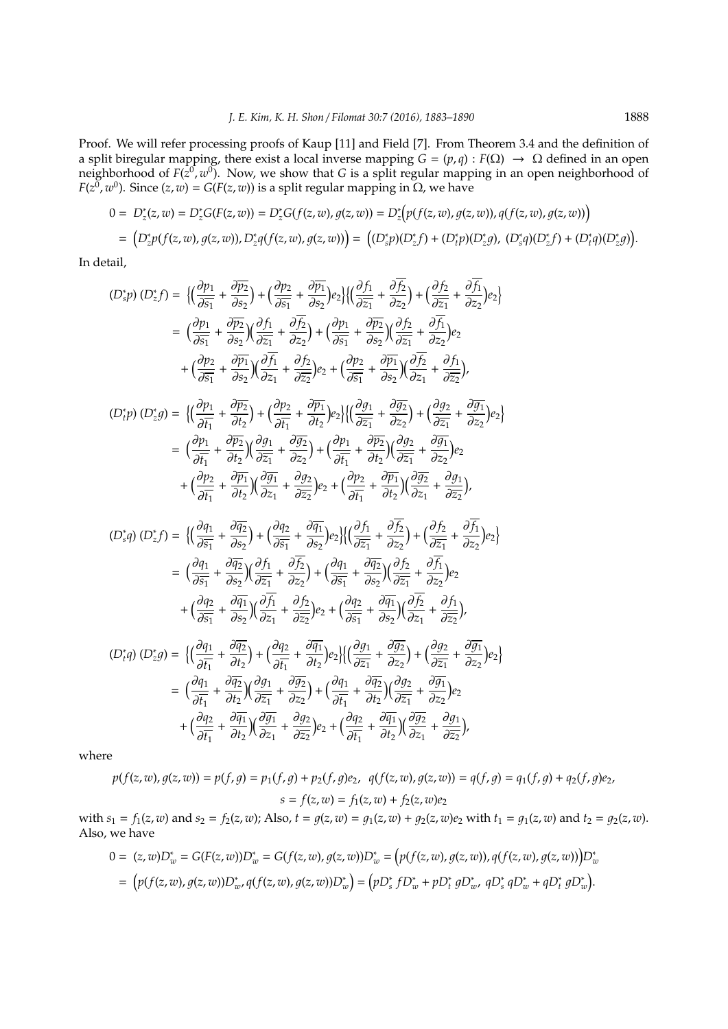Proof. We will refer processing proofs of Kaup [11] and Field [7]. From Theorem 3.4 and the definition of a split biregular mapping, there exist a local inverse mapping  $G = (p,q) : F(\Omega) \to \Omega$  defined in an open neighborhood of  $F(z^0, w^0)$ . Now, we show that *G* is a split regular mapping in an open neighborhood of *F*(*z*<sup>0</sup>, *w*<sup>0</sup>). Since (*z*, *w*) = *G*(*F*(*z*, *w*)) is a split regular mapping in Ω, we have

$$
0 = D_z^*(z, w) = D_z^* G(F(z, w)) = D_z^* G(f(z, w), g(z, w)) = D_z^* \big( p(f(z, w), g(z, w)), q(f(z, w), g(z, w)) \big)
$$
  
= 
$$
\big( D_z^* p(f(z, w), g(z, w)), D_z^* q(f(z, w), g(z, w)) \big) = \big( (D_z^* p)(D_z^* f) + (D_t^* p)(D_z^* g), (D_z^* q)(D_z^* f) + (D_t^* q)(D_z^* g) \big).
$$

In detail,

$$
(D_{s}^{*}p)(D_{z}^{*}f) = \left\{ \left( \frac{\partial p_{1}}{\partial \overline{s}_{1}} + \frac{\partial \overline{p_{2}}}{\partial s_{2}} \right) + \left( \frac{\partial p_{2}}{\partial \overline{s}_{1}} + \frac{\partial \overline{p_{1}}}{\partial s_{2}} \right) e_{2} \right\} \left\{ \left( \frac{\partial f_{1}}{\partial \overline{z}_{1}} + \frac{\partial f_{2}}{\partial \overline{z}_{2}} \right) + \left( \frac{\partial f_{2}}{\partial \overline{z}_{1}} + \frac{\partial f_{1}}{\partial \overline{z}_{2}} \right) e_{2} \right\}
$$
\n
$$
= \left( \frac{\partial p_{1}}{\partial \overline{s}_{1}} + \frac{\partial \overline{p_{2}}}{\partial s_{2}} \right) \left( \frac{\partial f_{1}}{\partial \overline{z}_{1}} + \frac{\partial f_{2}}{\partial \overline{z}_{2}} \right) + \left( \frac{\partial p_{1}}{\partial \overline{s}_{1}} + \frac{\partial \overline{p_{2}}}{\partial s_{2}} \right) \left( \frac{\partial f_{2}}{\partial \overline{z}_{1}} + \frac{\partial f_{1}}{\partial \overline{z}_{2}} \right) e_{2}
$$
\n
$$
+ \left( \frac{\partial p_{2}}{\partial \overline{s}_{1}} + \frac{\partial \overline{p_{1}}}{\partial s_{2}} \right) \left( \frac{\partial f_{1}}{\partial \overline{z}_{1}} + \frac{\partial f_{2}}{\partial \overline{z}_{2}} \right) e_{2} + \left( \frac{\partial p_{2}}{\partial \overline{s}_{1}} + \frac{\partial \overline{p_{1}}}{\partial s_{2}} \right) \left( \frac{\partial f_{2}}{\partial \overline{z}_{1}} + \frac{\partial f_{1}}{\partial \overline{z}_{2}} \right),
$$
\n
$$
(D_{i}^{*}p)(D_{z}^{*}g) = \left\{ \left( \frac{\partial p_{1}}{\partial f_{1}} + \frac{\partial p_{2}}{\partial f_{2}} \right) + \left( \frac{\partial p_{2}}{\partial f_{1}} + \frac{\partial \overline{p_{2}}}{\partial t_{2}} \right) e_{2} \right\} \left\{ \left( \frac{\partial g_{1}}{\partial \overline{z}_{1}} + \frac{\partial g_{2}}{\partial \overline{z}_{2}} \right) + \left(
$$

$$
(D_{t}^{*}q) (D_{z}^{*}g) = \left\{ \left( \frac{\partial q_{1}}{\partial \overline{t_{1}}} + \frac{\partial \overline{q_{2}}}{\partial t_{2}} \right) + \left( \frac{\partial q_{2}}{\partial \overline{t_{1}}} + \frac{\partial \overline{q_{1}}}{\partial t_{2}} \right) e_{2} \right\} \left\{ \left( \frac{\partial q_{1}}{\partial \overline{z_{1}}} + \frac{\partial \overline{g_{2}}}{\partial z_{2}} \right) + \left( \frac{\partial q_{2}}{\partial \overline{z_{1}}} + \frac{\partial \overline{g_{1}}}{\partial z_{2}} \right) e_{2} \right\}
$$
  

$$
= \left( \frac{\partial q_{1}}{\partial \overline{t_{1}}} + \frac{\partial \overline{q_{2}}}{\partial t_{2}} \right) \left( \frac{\partial q_{1}}{\partial \overline{z_{1}}} + \frac{\partial \overline{g_{2}}}{\partial z_{2}} \right) + \left( \frac{\partial q_{1}}{\partial \overline{t_{1}}} + \frac{\partial \overline{q_{2}}}{\partial t_{2}} \right) \left( \frac{\partial q_{2}}{\partial \overline{z_{1}}} + \frac{\partial \overline{g_{1}}}{\partial z_{2}} \right) e_{2}
$$
  

$$
+ \left( \frac{\partial q_{2}}{\partial \overline{t_{1}}} + \frac{\partial \overline{q_{1}}}{\partial t_{2}} \right) \left( \frac{\partial \overline{g_{1}}}{\partial z_{1}} + \frac{\partial g_{2}}{\partial z_{2}} \right) e_{2} + \left( \frac{\partial q_{2}}{\partial \overline{t_{1}}} + \frac{\partial \overline{q_{1}}}{\partial t_{2}} \right) \left( \frac{\partial \overline{g_{2}}}{\partial z_{1}} + \frac{\partial g_{1}}{\partial z_{2}} \right),
$$

where

$$
p(f(z, w), g(z, w)) = p(f, g) = p_1(f, g) + p_2(f, g)e_2, \quad q(f(z, w), g(z, w)) = q(f, g) = q_1(f, g) + q_2(f, g)e_2,
$$
  

$$
s = f(z, w) = f_1(z, w) + f_2(z, w)e_2
$$

with  $s_1 = f_1(z, w)$  and  $s_2 = f_2(z, w)$ ; Also,  $t = g(z, w) = g_1(z, w) + g_2(z, w)e_2$  with  $t_1 = g_1(z, w)$  and  $t_2 = g_2(z, w)$ . Also, we have

$$
0 = (z, w)D_w^* = G(F(z, w))D_w^* = G(f(z, w), g(z, w))D_w^* = (p(f(z, w), g(z, w)), q(f(z, w), g(z, w)))D_w^* = (p(f(z, w), g(z, w))D_w^* , q(f(z, w), g(z, w))D_w^*) = (pD_s^* fD_w^* + pD_t^* gD_w^* , qD_s^* gD_w^* + qD_t^* gD_w^*).
$$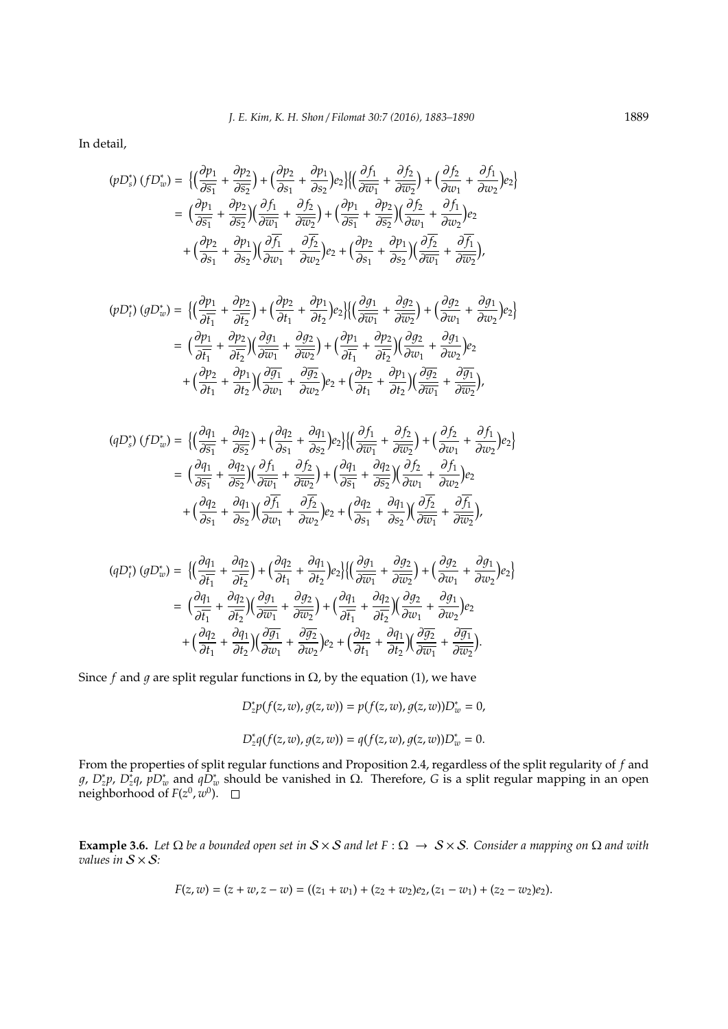In detail,

$$
(pD_s^*) (fD_w^*) = \left\{ \left( \frac{\partial p_1}{\partial \overline{s_1}} + \frac{\partial p_2}{\partial \overline{s_2}} \right) + \left( \frac{\partial p_2}{\partial s_1} + \frac{\partial p_1}{\partial s_2} \right) e_2 \right\} \left\{ \left( \frac{\partial f_1}{\partial \overline{w_1}} + \frac{\partial f_2}{\partial \overline{w_2}} \right) + \left( \frac{\partial f_2}{\partial w_1} + \frac{\partial f_1}{\partial w_2} \right) e_2 \right\}
$$
  
\n
$$
= \left( \frac{\partial p_1}{\partial \overline{s_1}} + \frac{\partial p_2}{\partial \overline{s_2}} \right) \left( \frac{\partial f_1}{\partial \overline{w_1}} + \frac{\partial f_2}{\partial \overline{w_2}} \right) + \left( \frac{\partial p_1}{\partial \overline{s_1}} + \frac{\partial p_2}{\partial \overline{s_2}} \right) \left( \frac{\partial f_2}{\partial w_1} + \frac{\partial f_1}{\partial w_2} \right) e_2
$$
  
\n
$$
+ \left( \frac{\partial p_2}{\partial s_1} + \frac{\partial p_1}{\partial s_2} \right) \left( \frac{\partial f_1}{\partial w_1} + \frac{\partial f_2}{\partial w_2} \right) e_2 + \left( \frac{\partial p_2}{\partial s_1} + \frac{\partial p_1}{\partial s_2} \right) \left( \frac{\partial f_2}{\partial \overline{w_1}} + \frac{\partial f_1}{\partial \overline{w_2}} \right),
$$

$$
(pD_t^*) (gD_w^*) = \left\{ \left( \frac{\partial p_1}{\partial \overline{t_1}} + \frac{\partial p_2}{\partial \overline{t_2}} \right) + \left( \frac{\partial p_2}{\partial t_1} + \frac{\partial p_1}{\partial t_2} \right) e_2 \right\} \left\{ \left( \frac{\partial g_1}{\partial \overline{w_1}} + \frac{\partial g_2}{\partial \overline{w_2}} \right) + \left( \frac{\partial g_2}{\partial w_1} + \frac{\partial g_1}{\partial w_2} \right) e_2 \right\}
$$
  

$$
= \left( \frac{\partial p_1}{\partial \overline{t_1}} + \frac{\partial p_2}{\partial \overline{t_2}} \right) \left( \frac{\partial g_1}{\partial \overline{w_1}} + \frac{\partial g_2}{\partial \overline{w_2}} \right) + \left( \frac{\partial p_1}{\partial \overline{t_1}} + \frac{\partial p_2}{\partial \overline{t_2}} \right) \left( \frac{\partial g_2}{\partial w_1} + \frac{\partial g_1}{\partial w_2} \right) e_2
$$
  

$$
+ \left( \frac{\partial p_2}{\partial t_1} + \frac{\partial p_1}{\partial t_2} \right) \left( \frac{\partial \overline{g_1}}{\partial w_1} + \frac{\partial \overline{g_2}}{\partial w_2} \right) e_2 + \left( \frac{\partial p_2}{\partial t_1} + \frac{\partial p_1}{\partial t_2} \right) \left( \frac{\partial \overline{g_2}}{\partial \overline{w_1}} + \frac{\partial \overline{g_1}}{\partial \overline{w_2}} \right),
$$

$$
(qD_s^*)(fD_w^*) = \left\{ \left( \frac{\partial q_1}{\partial \overline{s_1}} + \frac{\partial q_2}{\partial \overline{s_2}} \right) + \left( \frac{\partial q_2}{\partial s_1} + \frac{\partial q_1}{\partial s_2} \right) e_2 \right\} \left\{ \left( \frac{\partial f_1}{\partial \overline{w_1}} + \frac{\partial f_2}{\partial \overline{w_2}} \right) + \left( \frac{\partial f_2}{\partial w_1} + \frac{\partial f_1}{\partial w_2} \right) e_2 \right\}
$$
  

$$
= \left( \frac{\partial q_1}{\partial \overline{s_1}} + \frac{\partial q_2}{\partial \overline{s_2}} \right) \left( \frac{\partial f_1}{\partial \overline{w_1}} + \frac{\partial f_2}{\partial \overline{w_2}} \right) + \left( \frac{\partial q_1}{\partial \overline{s_1}} + \frac{\partial q_2}{\partial \overline{s_2}} \right) \left( \frac{\partial f_2}{\partial w_1} + \frac{\partial f_1}{\partial w_2} \right) e_2
$$
  

$$
+ \left( \frac{\partial q_2}{\partial s_1} + \frac{\partial q_1}{\partial s_2} \right) \left( \frac{\partial \overline{f_1}}{\partial w_1} + \frac{\partial \overline{f_2}}{\partial w_2} \right) e_2 + \left( \frac{\partial q_2}{\partial s_1} + \frac{\partial q_1}{\partial s_2} \right) \left( \frac{\partial \overline{f_2}}{\partial \overline{w_1}} + \frac{\partial \overline{f_1}}{\partial \overline{w_2}} \right),
$$

$$
\begin{split} (qD_t^*) \ (gD_w^*) & = \ \Big\{ \Big( \frac{\partial q_1}{\partial \overline{t_1}} + \frac{\partial q_2}{\partial \overline{t_2}} \Big) + \Big( \frac{\partial q_2}{\partial t_1} + \frac{\partial q_1}{\partial t_2} \Big) e_2 \Big\} \Big\{ \Big( \frac{\partial g_1}{\partial \overline{w_1}} + \frac{\partial g_2}{\partial \overline{w_2}} \Big) + \Big( \frac{\partial g_2}{\partial w_1} + \frac{\partial g_1}{\partial w_2} \Big) e_2 \Big\} \\ & = \ \Big( \frac{\partial q_1}{\partial \overline{t_1}} + \frac{\partial q_2}{\partial \overline{t_2}} \Big) \Big( \frac{\partial g_1}{\partial \overline{w_1}} + \frac{\partial g_2}{\partial \overline{w_2}} \Big) + \Big( \frac{\partial q_1}{\partial \overline{t_1}} + \frac{\partial q_2}{\partial \overline{t_2}} \Big) \Big( \frac{\partial g_2}{\partial w_1} + \frac{\partial g_1}{\partial w_2} \Big) e_2 \\ & + \Big( \frac{\partial q_2}{\partial t_1} + \frac{\partial q_1}{\partial t_2} \Big) \Big( \frac{\partial \overline{g_1}}{\partial w_1} + \frac{\partial \overline{g_2}}{\partial w_2} \Big) e_2 + \Big( \frac{\partial q_2}{\partial t_1} + \frac{\partial q_1}{\partial t_2} \Big) \Big( \frac{\partial \overline{g_2}}{\partial \overline{w_1}} + \frac{\partial \overline{g_1}}{\partial \overline{w_2}} \Big). \end{split}
$$

Since *f* and *q* are split regular functions in  $\Omega$ , by the equation (1), we have

$$
D_z^* p(f(z, w), g(z, w)) = p(f(z, w), g(z, w)) D_w^* = 0,
$$
  

$$
D_z^* q(f(z, w), g(z, w)) = q(f(z, w), g(z, w)) D_w^* = 0.
$$

From the properties of split regular functions and Proposition 2.4, regardless of the split regularity of *f* and *g*, *D*<sub>*\*g*</sub>, *p*<sub>*t*</sub><sup>*x*</sup><sub>*p*</sub>  $D_x^*$  *and*  $qD_x^*$  *should be vanished in*  $\Omega$ *. Therefore, <i>G* is a split regular mapping in an open neighborhood of  $F(z^0,w^0)$ .

**Example 3.6.** *Let* Ω *be a bounded open set in* S × S *and let F* : Ω → S × S*. Consider a mapping on* Ω *and with values in* S × S*:*

$$
F(z, w) = (z + w, z - w) = ((z_1 + w_1) + (z_2 + w_2)e_2, (z_1 - w_1) + (z_2 - w_2)e_2).
$$